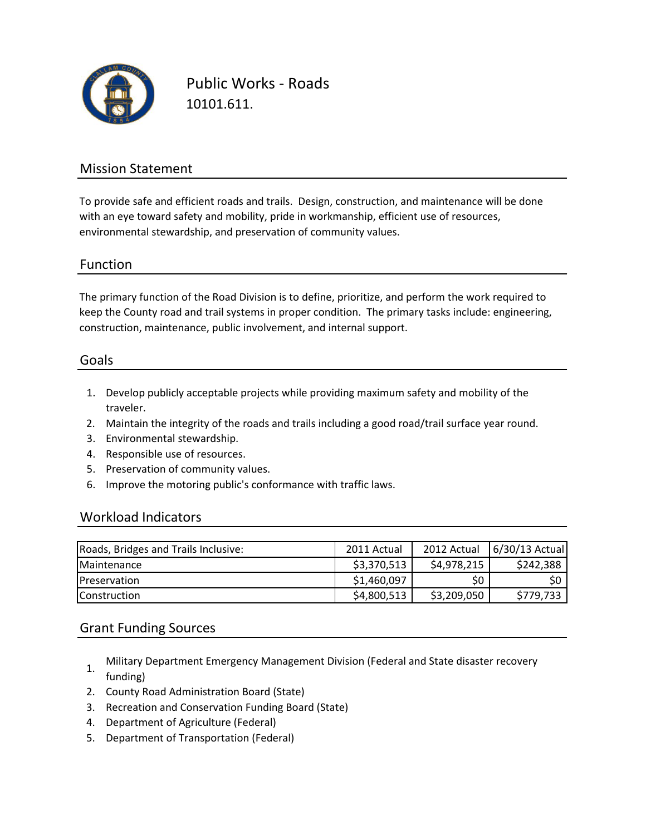

Public Works - Roads 10101.611.

### Mission Statement

To provide safe and efficient roads and trails. Design, construction, and maintenance will be done with an eye toward safety and mobility, pride in workmanship, efficient use of resources, environmental stewardship, and preservation of community values.

#### Function

The primary function of the Road Division is to define, prioritize, and perform the work required to keep the County road and trail systems in proper condition. The primary tasks include: engineering, construction, maintenance, public involvement, and internal support.

#### Goals

- 1. Develop publicly acceptable projects while providing maximum safety and mobility of the traveler.
- 2. Maintain the integrity of the roads and trails including a good road/trail surface year round.
- 3. Environmental stewardship.
- 4. Responsible use of resources.
- 5. Preservation of community values.
- 6. Improve the motoring public's conformance with traffic laws.

#### Workload Indicators

| Roads, Bridges and Trails Inclusive: | 2011 Actual | 2012 Actual | $6/30/13$ Actual |
|--------------------------------------|-------------|-------------|------------------|
| <b>Maintenance</b>                   | \$3,370,513 | \$4,978,215 | \$242,388        |
| <b>Preservation</b>                  | \$1,460,097 | SO.         | \$0              |
| <b>Construction</b>                  | \$4,800,513 | \$3,209,050 | \$779,733        |

#### Grant Funding Sources

- 1. Military Department Emergency Management Division (Federal and State disaster recovery funding)
- 2. County Road Administration Board (State)
- 3. Recreation and Conservation Funding Board (State)
- 4. Department of Agriculture (Federal)
- 5. Department of Transportation (Federal)